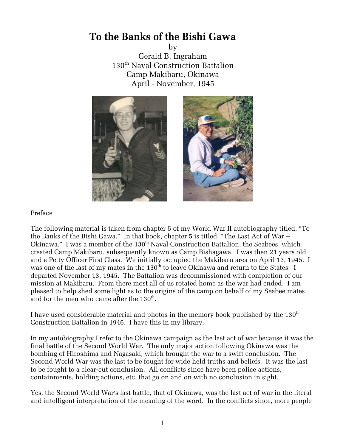# **To the Banks of the Bishi Gawa**

by

Gerald B. Ingraham 130<sup>th</sup> Naval Construction Battalion Camp Makibaru, Okinawa April - November, 1945



### Preface

The following material is taken from chapter 5 of my World War II autobiography titled, ''To the Banks of the Bishi Gawa.'' In that book, chapter 5 is titled, ''The Last Act of War -- Okinawa." I was a member of the 130<sup>th</sup> Naval Construction Battalion, the Seabees, which created Camp Makibaru, subsequently known as Camp Bishagawa. I was then 21 years old and a Petty Officer First Class. We initially occupied the Makibaru area on April 13, 1945. I was one of the last of my mates in the 130<sup>th</sup> to leave Okinawa and return to the States. I departed November 13, 1945. The Battalion was decommissioned with completion of our mission at Makibaru. From there most all of us rotated home as the war had ended. I am pleased to help shed some light as to the origins of the camp on behalf of my Seabee mates and for the men who came after the  $130<sup>th</sup>$ .

I have used considerable material and photos in the memory book published by the  $130<sup>th</sup>$ Construction Battalion in 1946. I have this in my library.

In my autobiography I refer to the Okinawa campaign as the last act of war because it was the final battle of the Second World War. The only major action following Okinawa was the bombing of Hiroshima and Nagasaki, which brought the war to a swift conclusion. The Second World War was the last to be fought for wide held truths and beliefs. It was the last to be fought to a clear-cut conclusion. All conflicts since have been police actions, containments, holding actions, etc. that go on and on with no conclusion in sight.

Yes, the Second World War's last battle, that of Okinawa, was the last act of war in the literal and intelligent interpretation of the meaning of the word. In the conflicts since, more people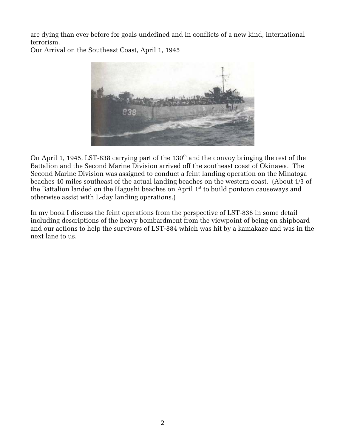are dying than ever before for goals undefined and in conflicts of a new kind, international terrorism.

Our Arrival on the Southeast Coast, April 1, 1945



On April 1, 1945, LST-838 carrying part of the  $130<sup>th</sup>$  and the convoy bringing the rest of the Battalion and the Second Marine Division arrived off the southeast coast of Okinawa. The Second Marine Division was assigned to conduct a feint landing operation on the Minatoga beaches 40 miles southeast of the actual landing beaches on the western coast. (About 1/3 of the Battalion landed on the Hagushi beaches on April  $1<sup>st</sup>$  to build pontoon causeways and otherwise assist with L-day landing operations.)

In my book I discuss the feint operations from the perspective of LST-838 in some detail including descriptions of the heavy bombardment from the viewpoint of being on shipboard and our actions to help the survivors of LST-884 which was hit by a kamakaze and was in the next lane to us.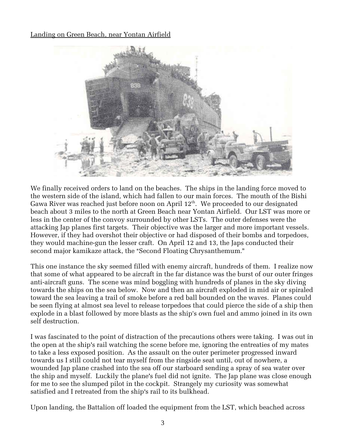## Landing on Green Beach, near Yontan Airfield



We finally received orders to land on the beaches. The ships in the landing force moved to the western side of the island, which had fallen to our main forces. The mouth of the Bishi Gawa River was reached just before noon on April  $12<sup>th</sup>$ . We proceeded to our designated beach about 3 miles to the north at Green Beach near Yontan Airfield. Our LST was more or less in the center of the convoy surrounded by other LSTs. The outer defenses were the attacking Jap planes first targets. Their objective was the larger and more important vessels. However, if they had overshot their objective or had disposed of their bombs and torpedoes, they would machine-gun the lesser craft. On April 12 and 13, the Japs conducted their second major kamikaze attack, the "Second Floating Chrysanthemum."

This one instance the sky seemed filled with enemy aircraft, hundreds of them. I realize now that some of what appeared to be aircraft in the far distance was the burst of our outer fringes anti-aircraft guns. The scene was mind boggling with hundreds of planes in the sky diving towards the ships on the sea below. Now and then an aircraft exploded in mid air or spiraled toward the sea leaving a trail of smoke before a red ball bounded on the waves. Planes could be seen flying at almost sea level to release torpedoes that could pierce the side of a ship then explode in a blast followed by more blasts as the ship's own fuel and ammo joined in its own self destruction.

I was fascinated to the point of distraction of the precautions others were taking. I was out in the open at the ship's rail watching the scene before me, ignoring the entreaties of my mates to take a less exposed position. As the assault on the outer perimeter progressed inward towards us I still could not tear myself from the ringside seat until, out of nowhere, a wounded Jap plane crashed into the sea off our starboard sending a spray of sea water over the ship and myself. Luckily the plane's fuel did not ignite. The Jap plane was close enough for me to see the slumped pilot in the cockpit. Strangely my curiosity was somewhat satisfied and I retreated from the ship's rail to its bulkhead.

Upon landing, the Battalion off loaded the equipment from the LST, which beached across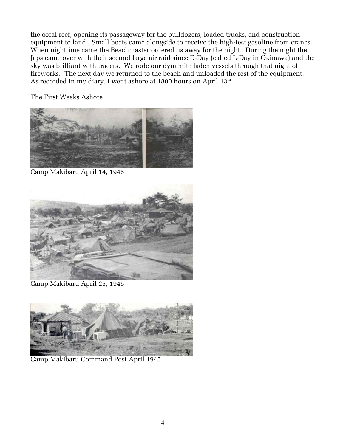the coral reef, opening its passageway for the bulldozers, loaded trucks, and construction equipment to land. Small boats came alongside to receive the high-test gasoline from cranes. When nighttime came the Beachmaster ordered us away for the night. During the night the Japs came over with their second large air raid since D-Day (called L-Day in Okinawa) and the sky was brilliant with tracers. We rode our dynamite laden vessels through that night of fireworks. The next day we returned to the beach and unloaded the rest of the equipment. As recorded in my diary, I went ashore at 1800 hours on April  $13<sup>th</sup>$ .

The First Weeks Ashore



Camp Makibaru April 14, 1945



Camp Makibaru April 25, 1945



Camp Makibaru Command Post April 1945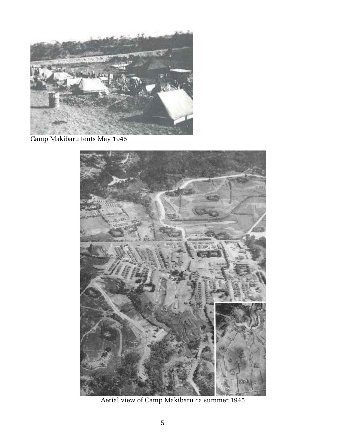

Camp Makibaru tents May 1945



Aerial view of Camp Makibaru ca summer 1945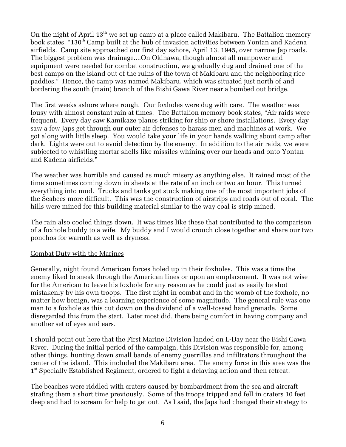On the night of April  $13<sup>th</sup>$  we set up camp at a place called Makibaru. The Battalion memory book states, "130<sup>th</sup> Camp built at the hub of invasion activities between Yontan and Kadena airfields. Camp site approached our first day ashore, April 13, 1945, over narrow Jap roads. The biggest problem was drainage....On Okinawa, though almost all manpower and equipment were needed for combat construction, we gradually dug and drained one of the best camps on the island out of the ruins of the town of Makibaru and the neighboring rice paddies.'' Hence, the camp was named Makibaru, which was situated just north of and bordering the south (main) branch of the Bishi Gawa River near a bombed out bridge.

The first weeks ashore where rough. Our foxholes were dug with care. The weather was lousy with almost constant rain at times. The Battalion memory book states, "Air raids were frequent. Every day saw Kamikaze planes striking for ship or shore installations. Every day saw a few Japs get through our outer air defenses to harass men and machines at work. We got along with little sleep. You would take your life in your hands walking about camp after dark. Lights were out to avoid detection by the enemy. In addition to the air raids, we were subjected to whistling mortar shells like missiles whining over our heads and onto Yontan and Kadena airfields.

The weather was horrible and caused as much misery as anything else. It rained most of the time sometimes coming down in sheets at the rate of an inch or two an hour. This turned everything into mud. Trucks and tanks got stuck making one of the most important jobs of the Seabees more difficult. This was the construction of airstrips and roads out of coral. The hills were mined for this building material similar to the way coal is strip mined.

The rain also cooled things down. It was times like these that contributed to the comparison of a foxhole buddy to a wife. My buddy and I would crouch close together and share our two ponchos for warmth as well as dryness.

### Combat Duty with the Marines

Generally, night found American forces holed up in their foxholes. This was a time the enemy liked to sneak through the American lines or upon an emplacement. It was not wise for the American to leave his foxhole for any reason as he could just as easily be shot mistakenly by his own troops. The first night in combat and in the womb of the foxhole, no matter how benign, was a learning experience of some magnitude. The general rule was one man to a foxhole as this cut down on the dividend of a well-tossed hand grenade. Some disregarded this from the start. Later most did, there being comfort in having company and another set of eyes and ears.

I should point out here that the First Marine Division landed on L-Day near the Bishi Gawa River. During the initial period of the campaign, this Division was responsible for, among other things, hunting down small bands of enemy guerrillas and infiltrators throughout the center of the island. This included the Makibaru area. The enemy force in this area was the 1<sup>st</sup> Specially Established Regiment, ordered to fight a delaying action and then retreat.

The beaches were riddled with craters caused by bombardment from the sea and aircraft strafing them a short time previously. Some of the troops tripped and fell in craters 10 feet deep and had to scream for help to get out. As I said, the Japs had changed their strategy to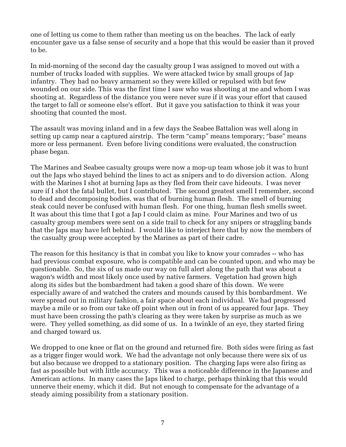one of letting us come to them rather than meeting us on the beaches. The lack of early encounter gave us a false sense of security and a hope that this would be easier than it proved to be.

In mid-morning of the second day the casualty group I was assigned to moved out with a number of trucks loaded with supplies. We were attacked twice by small groups of Jap infantry. They had no heavy armament so they were killed or repulsed with but few wounded on our side. This was the first time I saw who was shooting at me and whom I was shooting at. Regardless of the distance you were never sure if it was your effort that caused the target to fall or someone else's effort. But it gave you satisfaction to think it was your shooting that counted the most.

The assault was moving inland and in a few days the Seabee Battalion was well along in setting up camp near a captured airstrip. The term "camp" means temporary; "base" means more or less permanent. Even before living conditions were evaluated, the construction phase began.

The Marines and Seabee casualty groups were now a mop-up team whose job it was to hunt out the Japs who stayed behind the lines to act as snipers and to do diversion action. Along with the Marines I shot at burning Japs as they fled from their cave hideouts. I was never sure if I shot the fatal bullet, but I contributed. The second greatest smell I remember, second to dead and decomposing bodies, was that of burning human flesh. The smell of burning steak could never be confused with human flesh. For one thing, human flesh smells sweet. It was about this time that I got a Jap I could claim as mine. Four Marines and two of us casualty group members were sent on a side trail to check for any snipers or straggling bands that the Japs may have left behind. I would like to interject here that by now the members of the casualty group were accepted by the Marines as part of their cadre.

The reason for this hesitancy is that in combat you like to know your comrades -- who has had previous combat exposure, who is compatible and can be counted upon, and who may be questionable. So, the six of us made our way on full alert along the path that was about a wagon's width and most likely once used by native farmers. Vegetation had grown high along its sides but the bombardment had taken a good share of this down. We were especially aware of and watched the craters and mounds caused by this bombardment. We were spread out in military fashion, a fair space about each individual. We had progressed maybe a mile or so from our take off point when out in front of us appeared four Japs. They must have been crossing the path's clearing as they were taken by surprise as much as we were. They yelled something, as did some of us. In a twinkle of an eye, they started firing and charged toward us.

We dropped to one knee or flat on the ground and returned fire. Both sides were firing as fast as a trigger finger would work. We had the advantage not only because there were six of us but also because we dropped to a stationary position. The charging Japs were also firing as fast as possible but with little accuracy. This was a noticeable difference in the Japanese and American actions. In many cases the Japs liked to charge, perhaps thinking that this would unnerve their enemy, which it did. But not enough to compensate for the advantage of a steady aiming possibility from a stationary position.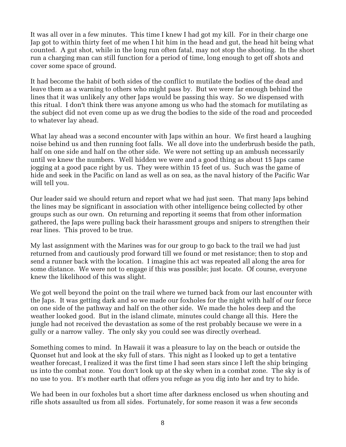It was all over in a few minutes. This time I knew I had got my kill. For in their charge one Jap got to within thirty feet of me when I hit him in the head and gut, the head hit being what counted. A gut shot, while in the long run often fatal, may not stop the shooting. In the short run a charging man can still function for a period of time, long enough to get off shots and cover some space of ground.

It had become the habit of both sides of the conflict to mutilate the bodies of the dead and leave them as a warning to others who might pass by. But we were far enough behind the lines that it was unlikely any other Japs would be passing this way. So we dispensed with this ritual. I don't think there was anyone among us who had the stomach for mutilating as the subject did not even come up as we drug the bodies to the side of the road and proceeded to whatever lay ahead.

What lay ahead was a second encounter with Japs within an hour. We first heard a laughing noise behind us and then running foot falls. We all dove into the underbrush beside the path, half on one side and half on the other side. We were not setting up an ambush necessarily until we knew the numbers. Well hidden we were and a good thing as about 15 Japs came jogging at a good pace right by us. They were within 15 feet of us. Such was the game of hide and seek in the Pacific on land as well as on sea, as the naval history of the Pacific War will tell you.

Our leader said we should return and report what we had just seen. That many Japs behind the lines may be significant in association with other intelligence being collected by other groups such as our own. On returning and reporting it seems that from other information gathered, the Japs were pulling back their harassment groups and snipers to strengthen their rear lines. This proved to be true.

My last assignment with the Marines was for our group to go back to the trail we had just returned from and cautiously prod forward till we found or met resistance; then to stop and send a runner back with the location. I imagine this act was repeated all along the area for some distance. We were not to engage if this was possible; just locate. Of course, everyone knew the likelihood of this was slight.

We got well beyond the point on the trail where we turned back from our last encounter with the Japs. It was getting dark and so we made our foxholes for the night with half of our force on one side of the pathway and half on the other side. We made the holes deep and the weather looked good. But in the island climate, minutes could change all this. Here the jungle had not received the devastation as some of the rest probably because we were in a gully or a narrow valley. The only sky you could see was directly overhead.

Something comes to mind. In Hawaii it was a pleasure to lay on the beach or outside the Quonset hut and look at the sky full of stars. This night as I looked up to get a tentative weather forecast, I realized it was the first time I had seen stars since I left the ship bringing us into the combat zone. You don't look up at the sky when in a combat zone. The sky is of no use to you. It's mother earth that offers you refuge as you dig into her and try to hide.

We had been in our foxholes but a short time after darkness enclosed us when shouting and rifle shots assaulted us from all sides. Fortunately, for some reason it was a few seconds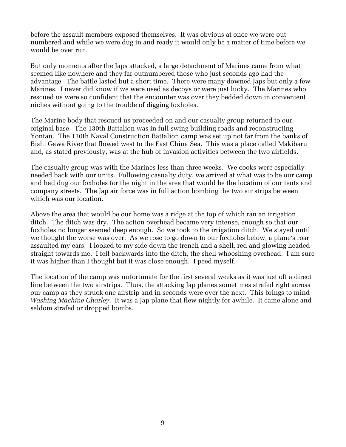before the assault members exposed themselves. It was obvious at once we were out numbered and while we were dug in and ready it would only be a matter of time before we would be over run.

But only moments after the Japs attacked, a large detachment of Marines came from what seemed like nowhere and they far outnumbered those who just seconds ago had the advantage. The battle lasted but a short time. There were many downed Japs but only a few Marines. I never did know if we were used as decoys or were just lucky. The Marines who rescued us were so confident that the encounter was over they bedded down in convenient niches without going to the trouble of digging foxholes.

The Marine body that rescued us proceeded on and our casualty group returned to our original base. The 130th Battalion was in full swing building roads and reconstructing Yontan. The 130th Naval Construction Battalion camp was set up not far from the banks of Bishi Gawa River that flowed west to the East China Sea. This was a place called Makibaru and, as stated previously, was at the hub of invasion activities between the two airfields.

The casualty group was with the Marines less than three weeks. We cooks were especially needed back with our units. Following casualty duty, we arrived at what was to be our camp and had dug our foxholes for the night in the area that would be the location of our tents and company streets. The Jap air force was in full action bombing the two air strips between which was our location.

Above the area that would be our home was a ridge at the top of which ran an irrigation ditch. The ditch was dry. The action overhead became very intense, enough so that our foxholes no longer seemed deep enough. So we took to the irrigation ditch. We stayed until we thought the worse was over. As we rose to go down to our foxholes below, a plane's roar assaulted my ears. I looked to my side down the trench and a shell, red and glowing headed straight towards me. I fell backwards into the ditch, the shell whooshing overhead. I am sure it was higher than I thought but it was close enough. I peed myself.

The location of the camp was unfortunate for the first several weeks as it was just off a direct line between the two airstrips. Thus, the attacking Jap planes sometimes strafed right across our camp as they struck one airstrip and in seconds were over the next. This brings to mind *Washing Machine Charley*. It was a Jap plane that flew nightly for awhile. It came alone and seldom strafed or dropped bombs.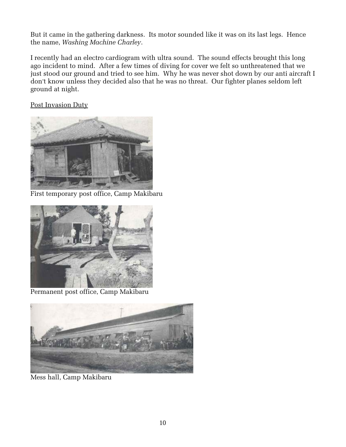But it came in the gathering darkness. Its motor sounded like it was on its last legs. Hence the name, *Washing Machine Charley*.

I recently had an electro cardiogram with ultra sound. The sound effects brought this long ago incident to mind. After a few times of diving for cover we felt so unthreatened that we just stood our ground and tried to see him. Why he was never shot down by our anti aircraft I don't know unless they decided also that he was no threat. Our fighter planes seldom left ground at night.

Post Invasion Duty



First temporary post office, Camp Makibaru



Permanent post office, Camp Makibaru



Mess hall, Camp Makibaru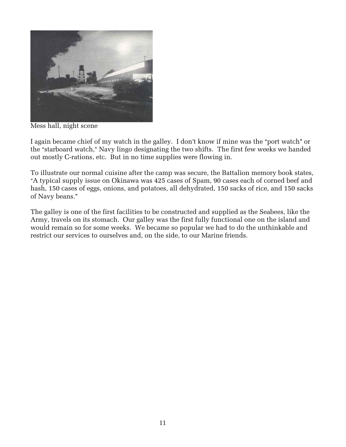

Mess hall, night scene

I again became chief of my watch in the galley. I don't know if mine was the "port watch" or the "starboard watch," Navy lingo designating the two shifts. The first few weeks we handed out mostly C-rations, etc. But in no time supplies were flowing in.

To illustrate our normal cuisine after the camp was secure, the Battalion memory book states, -A typical supply issue on Okinawa was 425 cases of Spam, 90 cases each of corned beef and hash, 150 cases of eggs, onions, and potatoes, all dehydrated, 150 sacks of rice, and 150 sacks of Navy beans.

The galley is one of the first facilities to be constructed and supplied as the Seabees, like the Army, travels on its stomach. Our galley was the first fully functional one on the island and would remain so for some weeks. We became so popular we had to do the unthinkable and restrict our services to ourselves and, on the side, to our Marine friends.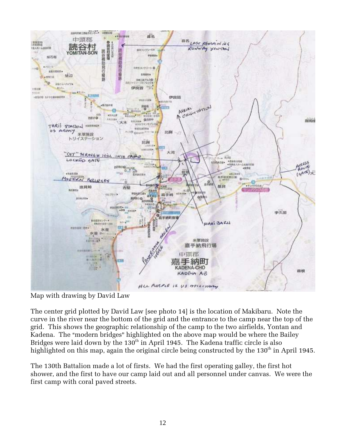

Map with drawing by David Law

The center grid plotted by David Law [see photo 14] is the location of Makibaru. Note the curve in the river near the bottom of the grid and the entrance to the camp near the top of the grid. This shows the geographic relationship of the camp to the two airfields, Yontan and Kadena. The "modern bridges" highlighted on the above map would be where the Bailey Bridges were laid down by the  $130^{th}$  in April 1945. The Kadena traffic circle is also highlighted on this map, again the original circle being constructed by the 130<sup>th</sup> in April 1945.

The 130th Battalion made a lot of firsts. We had the first operating galley, the first hot shower, and the first to have our camp laid out and all personnel under canvas. We were the first camp with coral paved streets.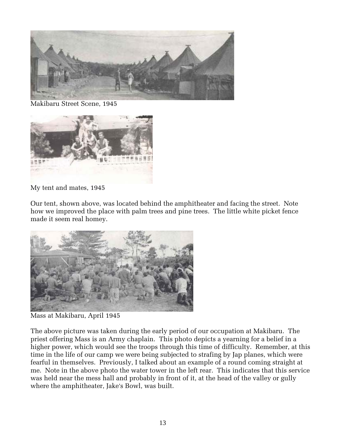

Makibaru Street Scene, 1945



My tent and mates, 1945

Our tent, shown above, was located behind the amphitheater and facing the street. Note how we improved the place with palm trees and pine trees. The little white picket fence made it seem real homey.



Mass at Makibaru, April 1945

The above picture was taken during the early period of our occupation at Makibaru. The priest offering Mass is an Army chaplain. This photo depicts a yearning for a belief in a higher power, which would see the troops through this time of difficulty. Remember, at this time in the life of our camp we were being subjected to strafing by Jap planes, which were fearful in themselves. Previously, I talked about an example of a round coming straight at me. Note in the above photo the water tower in the left rear. This indicates that this service was held near the mess hall and probably in front of it, at the head of the valley or gully where the amphitheater, Jake's Bowl, was built.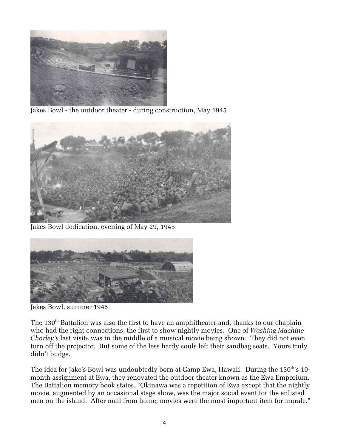

Jakes Bowl - the outdoor theater - during construction, May 1945



Jakes Bowl dedication, evening of May 29, 1945



Jakes Bowl, summer 1945

The 130<sup>th</sup> Battalion was also the first to have an amphitheater and, thanks to our chaplain who had the right connections, the first to show nightly movies. One of *Washing Machine Charley's* last visits was in the middle of a musical movie being shown. They did not even turn off the projector. But some of the less hardy souls left their sandbag seats. Yours truly didn't budge.

The idea for Jake's Bowl was undoubtedly born at Camp Ewa, Hawaii. During the 130<sup>th</sup>'s 10month assignment at Ewa, they renovated the outdoor theater known as the Ewa Emporium. The Battalion memory book states, "Okinawa was a repetition of Ewa except that the nightly movie, augmented by an occasional stage show, was the major social event for the enlisted men on the island. After mail from home, movies were the most important item for morale.''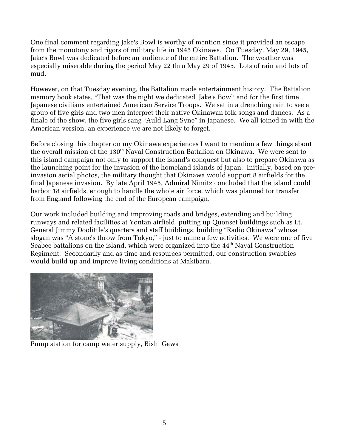One final comment regarding Jake's Bowl is worthy of mention since it provided an escape from the monotony and rigors of military life in 1945 Okinawa. On Tuesday, May 29, 1945, Jake's Bowl was dedicated before an audience of the entire Battalion. The weather was especially miserable during the period May 22 thru May 29 of 1945. Lots of rain and lots of mud.

However, on that Tuesday evening, the Battalion made entertainment history. The Battalion memory book states, "That was the night we dedicated 'Jake's Bowl' and for the first time Japanese civilians entertained American Service Troops. We sat in a drenching rain to see a group of five girls and two men interpret their native Okinawan folk songs and dances. As a finale of the show, the five girls sang ''Auld Lang Syne'' in Japanese. We all joined in with the American version, an experience we are not likely to forget.

Before closing this chapter on my Okinawa experiences I want to mention a few things about the overall mission of the 130<sup>th</sup> Naval Construction Battalion on Okinawa. We were sent to this island campaign not only to support the island's conquest but also to prepare Okinawa as the launching point for the invasion of the homeland islands of Japan. Initially, based on preinvasion aerial photos, the military thought that Okinawa would support 8 airfields for the final Japanese invasion. By late April 1945, Admiral Nimitz concluded that the island could harbor 18 airfields, enough to handle the whole air force, which was planned for transfer from England following the end of the European campaign.

Our work included building and improving roads and bridges, extending and building runways and related facilities at Yontan airfield, putting up Quonset buildings such as Lt. General Jimmy Doolittle's quarters and staff buildings, building ''Radio Okinawa'' whose slogan was ''A stone's throw from Tokyo,'' - just to name a few activities. We were one of five Seabee battalions on the island, which were organized into the  $44<sup>th</sup>$  Naval Construction Regiment. Secondarily and as time and resources permitted, our construction swabbies would build up and improve living conditions at Makibaru.



Pump station for camp water supply, Bishi Gawa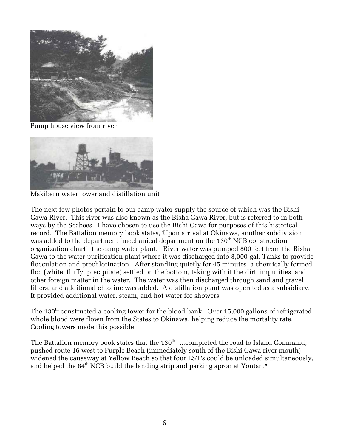

Pump house view from river



Makibaru water tower and distillation unit

The next few photos pertain to our camp water supply the source of which was the Bishi Gawa River. This river was also known as the Bisha Gawa River, but is referred to in both ways by the Seabees. I have chosen to use the Bishi Gawa for purposes of this historical record. The Battalion memory book states, "Upon arrival at Okinawa, another subdivision was added to the department [mechanical department on the  $130<sup>th</sup> NCB$  construction organization chart], the camp water plant. River water was pumped 800 feet from the Bisha Gawa to the water purification plant where it was discharged into 3,000-gal. Tanks to provide flocculation and prechlorination. After standing quietly for 45 minutes, a chemically formed floc (white, fluffy, precipitate) settled on the bottom, taking with it the dirt, impurities, and other foreign matter in the water. The water was then discharged through sand and gravel filters, and additional chlorine was added. A distillation plant was operated as a subsidiary. It provided additional water, steam, and hot water for showers.

The 130<sup>th</sup> constructed a cooling tower for the blood bank. Over 15,000 gallons of refrigerated whole blood were flown from the States to Okinawa, helping reduce the mortality rate. Cooling towers made this possible.

The Battalion memory book states that the 130<sup>th</sup> "...completed the road to Island Command, pushed route 16 west to Purple Beach (immediately south of the Bishi Gawa river mouth), widened the causeway at Yellow Beach so that four LST's could be unloaded simultaneously, and helped the 84<sup>th</sup> NCB build the landing strip and parking apron at Yontan."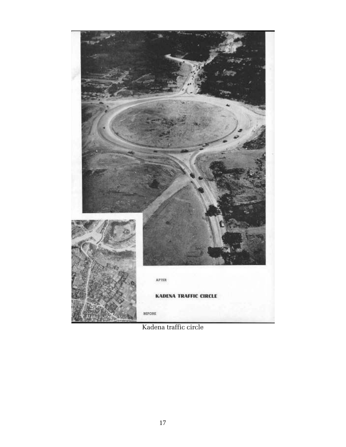

Kadena traffic circle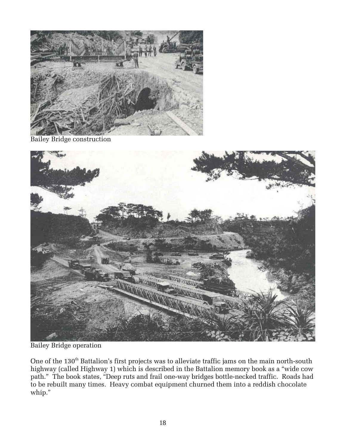

Bailey Bridge construction



Bailey Bridge operation

One of the  $130^{\text{th}}$  Battalion's first projects was to alleviate traffic jams on the main north-south highway (called Highway 1) which is described in the Battalion memory book as a ''wide cow path." The book states, "Deep ruts and frail one-way bridges bottle-necked traffic. Roads had to be rebuilt many times. Heavy combat equipment churned them into a reddish chocolate whip.''